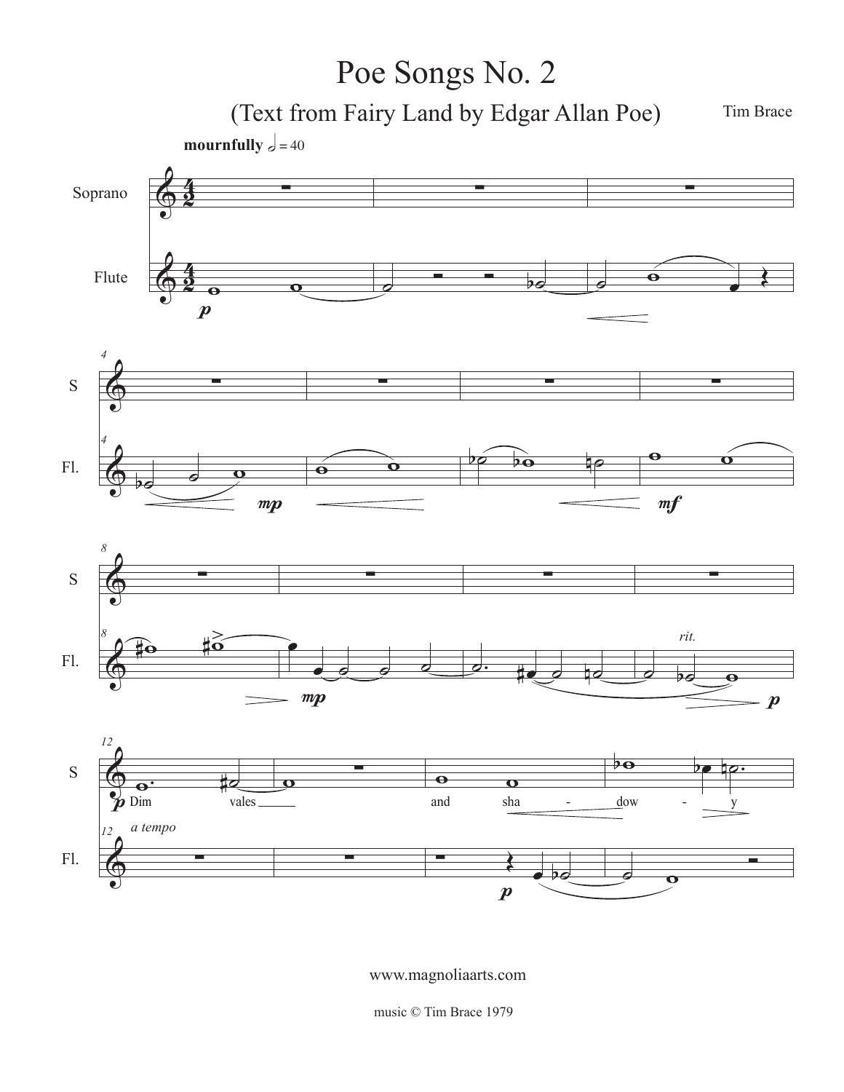## Poe Songs No. 2

(Text from Fairy Land by Edgar Allan Poe)

Tim Brace



www.magnoliaarts.com

music © Tim Brace 1979